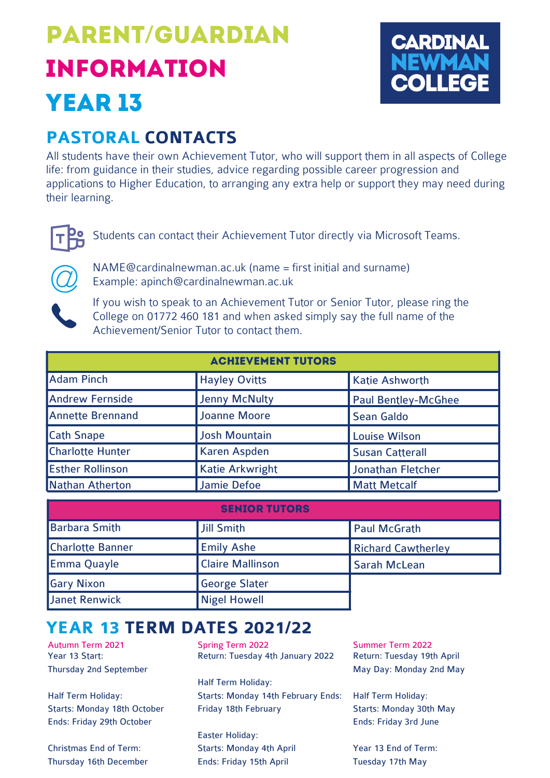# parent/Guardian information year 13



# **PASTORAL CONTACTS**

All students have their own Achievement Tutor, who will support them in all aspects of College life: from guidance in their studies, advice regarding possible career progression and applications to Higher Education, to arranging any extra help or support they may need during their learning.



Students can contact their Achievement Tutor directly via Microsoft Teams.



[NAME@cardinalnewman.ac.uk](mailto:NAME@cardinalnewman.ac.uk) (name = first initial and surname) Example: [apinch@cardinalnewman.ac.uk](mailto:apinch@cardinalnewman.ac.uk)

If you wish to speak to an Achievement Tutor or Senior Tutor, please ring the College on 01772 460 181 and when asked simply say the full name of the [Achievement/Senior](mailto:NAME@cardinalnewman.ac.uk) Tutor to contact them.

| <b>ACHIEVEMENT TUTORS</b> |                        |                            |  |  |  |
|---------------------------|------------------------|----------------------------|--|--|--|
| <b>Adam Pinch</b>         | <b>Hayley Ovitts</b>   | <b>Katie Ashworth</b>      |  |  |  |
| <b>Andrew Fernside</b>    | <b>Jenny McNulty</b>   | <b>Paul Bentley-McGhee</b> |  |  |  |
| <b>Annette Brennand</b>   | <b>Joanne Moore</b>    | <b>Sean Galdo</b>          |  |  |  |
| <b>Cath Snape</b>         | <b>Josh Mountain</b>   | <b>Louise Wilson</b>       |  |  |  |
| <b>Charlotte Hunter</b>   | <b>Karen Aspden</b>    | <b>Susan Catterall</b>     |  |  |  |
| <b>Esther Rollinson</b>   | <b>Katie Arkwright</b> | Jonathan Fletcher          |  |  |  |
| Nathan Atherton           | <b>Jamie Defoe</b>     | <b>Matt Metcalf</b>        |  |  |  |

| <b>SENIOR TUTORS</b>    |                         |                           |  |  |  |
|-------------------------|-------------------------|---------------------------|--|--|--|
| <b>Barbara Smith</b>    | Jill Smith              | <b>Paul McGrath</b>       |  |  |  |
| <b>Charlotte Banner</b> | <b>Emily Ashe</b>       | <b>Richard Cawtherley</b> |  |  |  |
| <b>Emma Quayle</b>      | <b>Claire Mallinson</b> | <b>Sarah McLean</b>       |  |  |  |
| <b>Gary Nixon</b>       | <b>George Slater</b>    |                           |  |  |  |
| Janet Renwick           | <b>Nigel Howell</b>     |                           |  |  |  |

# **YEAR 13 TERM DATES 2021/22**

Year 13 Start: Thursday 2nd September

Half Term Holiday: Starts: Monday 18th October Ends: Friday 29th October

Christmas End of Term: Thursday 16th December

Autumn Term 2021 Spring Term 2022 Summer Term 2022 Return: Tuesday 4th January 2022

> Half Term Holiday: Starts: Monday 14th February Ends: Friday 18th February

Easter Holiday: Starts: Monday 4th April Ends: Friday 15th April

Return: Tuesday 19th April May Day: Monday 2nd May

Half Term Holiday: Starts: Monday 30th May Ends: Friday 3rd June

Year 13 End of Term: Tuesday 17th May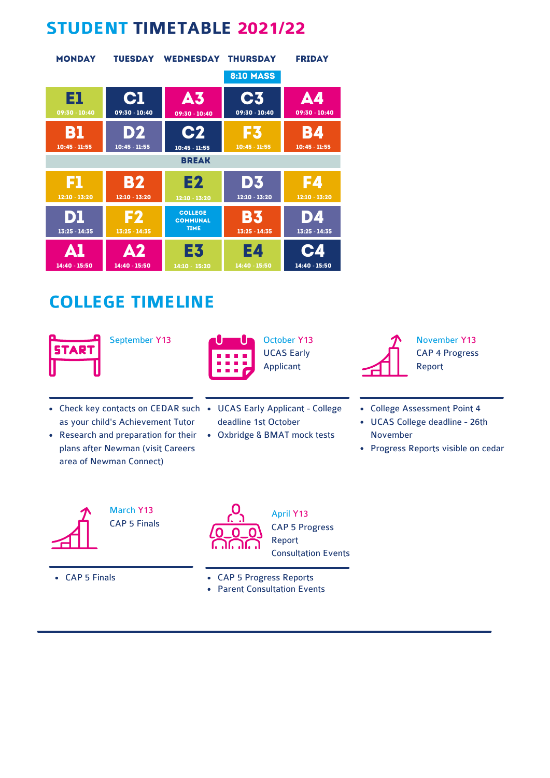# **STUDENT TIMETABLE 2021/22**

| <b>MONDAY</b>       | <b>TUESDAY</b>        | <b>WEDNESDAY</b>                                 | <b>THURSDAY</b>       | <b>FRIDAY</b>          |
|---------------------|-----------------------|--------------------------------------------------|-----------------------|------------------------|
|                     |                       |                                                  | <b>8:10 MASS</b>      |                        |
| El                  | C1                    | <b>A3</b>                                        | C <sub>3</sub>        | <b>A4</b>              |
| 09:30 - 10:40       | 09:30 - 10:40         | 09:30 - 10:40                                    | 09:30 - 10:40         | 09:30 - 10:40          |
| B1                  | D2                    | <b>C2</b>                                        | 13                    | <b>B4</b>              |
| $10:45 - 11:55$     | $10:45 - 11:55$       | $10:45 - 11:55$                                  | $10:45 - 11:55$       | $10:45 - 11:55$        |
|                     |                       | <b>BREAK</b>                                     |                       |                        |
| F1                  | <b>B2</b>             | E2                                               | D3                    | 154                    |
| 12:10 - 13:20       | 12:10 - 13:20         | 12:10 - 13:20                                    | 12:10 - 13:20         | 12:10 - 13:20          |
| Dl<br>13:25 - 14:35 | F2<br>$13:25 - 14:35$ | <b>COLLEGE</b><br><b>COMMUNAL</b><br><b>TIME</b> | B3<br>$13:25 - 14:35$ | DZ.<br>$13:25 - 14:35$ |
| ДI                  | А2                    | E3                                               | E4                    | <b>C4</b>              |
| 14:40 - 15:50       | 14:40 - 15:50         | 14:10 - 15:20                                    | 14:40 - 15:50         | 14:40 - 15:50          |

# **COLLEGE TIMELINE**





UCAS Early Applicant

- Check key contacts on CEDAR such UCAS Early Applicant College as your child's Achievement Tutor
- Research and preparation for their plans after Newman (visit Careers area of Newman Connect)
- deadline 1st October
- Oxbridge & BMAT mock tests



November Y13 CAP 4 Progress Report

- College Assessment Point 4
- UCAS College deadline 26th November
- Progress Reports visible on cedar



March Y13 CAP 5 Finals



April Y13 CAP 5 Progress Report Consultation Events

- CAP 5 Finals CAP 5 Progress Reports
	- Parent Consultation Events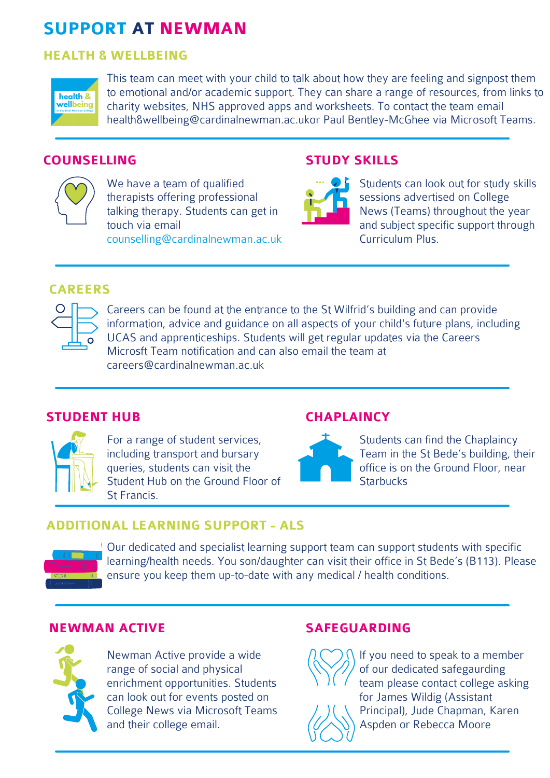# **SUPPORT AT NEWMAN**

#### **HEALTH & WELLBEING**



This team can meet with your child to talk about how they are feeling and signpost them to emotional and/or academic support. They can share a range of resources, from links to charity websites, NHS approved apps and worksheets. To contact the team email [health&wellbeing@cardinalnewman.ac.uko](mailto:health&wellbeing@cardinalnewman.ac.uk)r Paul Bentley-McGhee via Microsoft Teams.

### **COUNSELLING**



We have a team of qualified therapists offering professional talking therapy. Students can get in touch via email [counselling@cardinalnewman.ac.uk](mailto:counselling@cardinalnewman.ac.uk)

### **STUDY SKILLS**



Students can look out for study skills sessions advertised on College News (Teams) throughout the year and subject specific support through Curriculum Plus.

### **CAREERS**



Careers can be found at the entrance to the St Wilfrid's building and can provide information, advice and guidance on all aspects of your child's future plans, including UCAS and apprenticeships. Students will get regular updates via the Careers Microsft Team notification and can also email the team at [careers@cardinalnewman.ac.uk](mailto:careers@cardinalnewman.ac.uk)

### **STUDENT HUB**



For a range of student services, including transport and bursary queries, students can visit the Student Hub on the Ground Floor of St Francis.

### **CHAPLAINCY**



Students can find the Chaplaincy Team in the St Bede's building, their office is on the Ground Floor, near **Starbucks** 

### **ADDITIONAL LEARNING SUPPORT - ALS**



Our dedicated and specialist learning support team can support students with specific learning/health needs. You son/daughter can visit their office in St Bede's (B113). Please ensure you keep them up-to-date with any medical / health conditions.

### **NEWMAN ACTIVE**



Newman Active provide a wide range of social and physical enrichment opportunities. Students can look out for events posted on College News via Microsoft Teams and their college email.

#### **SAFEGUARDING**



If you need to speak to a member of our dedicated safegaurding team please contact college asking for James Wildig (Assistant Principal), Jude Chapman, Karen Aspden or Rebecca Moore